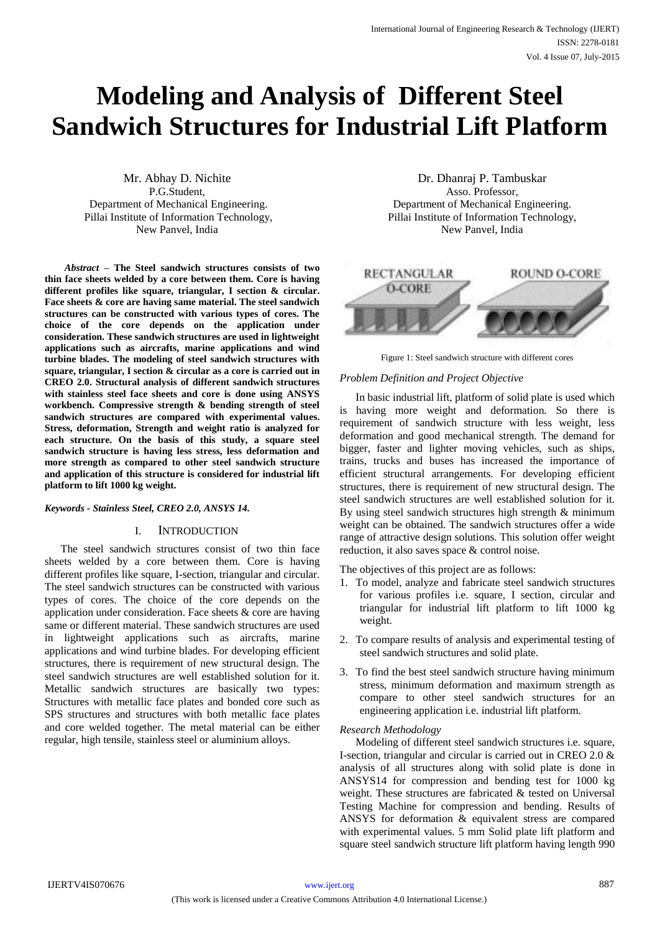# **Modeling and Analysis of Different Steel Sandwich Structures for Industrial Lift Platform**

Mr. Abhay D. Nichite P.G.Student, Department of Mechanical Engineering. Pillai Institute of Information Technology, New Panvel, India

*Abstract –* **The Steel sandwich structures consists of two thin face sheets welded by a core between them. Core is having different profiles like square, triangular, I section & circular. Face sheets & core are having same material. The steel sandwich structures can be constructed with various types of cores. The choice of the core depends on the application under consideration. These sandwich structures are used in lightweight applications such as aircrafts, marine applications and wind turbine blades. The modeling of steel sandwich structures with square, triangular, I section & circular as a core is carried out in CREO 2.0. Structural analysis of different sandwich structures with stainless steel face sheets and core is done using ANSYS workbench. Compressive strength & bending strength of steel sandwich structures are compared with experimental values. Stress, deformation, Strength and weight ratio is analyzed for each structure. On the basis of this study, a square steel sandwich structure is having less stress, less deformation and more strength as compared to other steel sandwich structure and application of this structure is considered for industrial lift platform to lift 1000 kg weight.**

## *Keywords - Stainless Steel, CREO 2.0, ANSYS 14.*

## I. INTRODUCTION

The steel sandwich structures consist of two thin face sheets welded by a core between them. Core is having different profiles like square, I-section, triangular and circular. The steel sandwich structures can be constructed with various types of cores. The choice of the core depends on the application under consideration. Face sheets & core are having same or different material. These sandwich structures are used in lightweight applications such as aircrafts, marine applications and wind turbine blades. For developing efficient structures, there is requirement of new structural design. The steel sandwich structures are well established solution for it. Metallic sandwich structures are basically two types: Structures with metallic face plates and bonded core such as SPS structures and structures with both metallic face plates and core welded together. The metal material can be either regular, high tensile, stainless steel or aluminium alloys.

Dr. Dhanraj P. Tambuskar Asso. Professor, Department of Mechanical Engineering. Pillai Institute of Information Technology, New Panvel, India



Figure 1: Steel sandwich structure with different cores

## *Problem Definition and Project Objective*

In basic industrial lift, platform of solid plate is used which is having more weight and deformation. So there is requirement of sandwich structure with less weight, less deformation and good mechanical strength. The demand for bigger, faster and lighter moving vehicles, such as ships, trains, trucks and buses has increased the importance of efficient structural arrangements. For developing efficient structures, there is requirement of new structural design. The steel sandwich structures are well established solution for it. By using steel sandwich structures high strength & minimum weight can be obtained. The sandwich structures offer a wide range of attractive design solutions. This solution offer weight reduction, it also saves space & control noise.

The objectives of this project are as follows:

- 1. To model, analyze and fabricate steel sandwich structures for various profiles i.e. square, I section, circular and triangular for industrial lift platform to lift 1000 kg weight.
- 2. To compare results of analysis and experimental testing of steel sandwich structures and solid plate.
- 3. To find the best steel sandwich structure having minimum stress, minimum deformation and maximum strength as compare to other steel sandwich structures for an engineering application i.e. industrial lift platform.

## *Research Methodology*

Modeling of different steel sandwich structures i.e. square, I-section, triangular and circular is carried out in CREO 2.0 & analysis of all structures along with solid plate is done in ANSYS14 for compression and bending test for 1000 kg weight. These structures are fabricated & tested on Universal Testing Machine for compression and bending. Results of ANSYS for deformation & equivalent stress are compared with experimental values. 5 mm Solid plate lift platform and square steel sandwich structure lift platform having length 990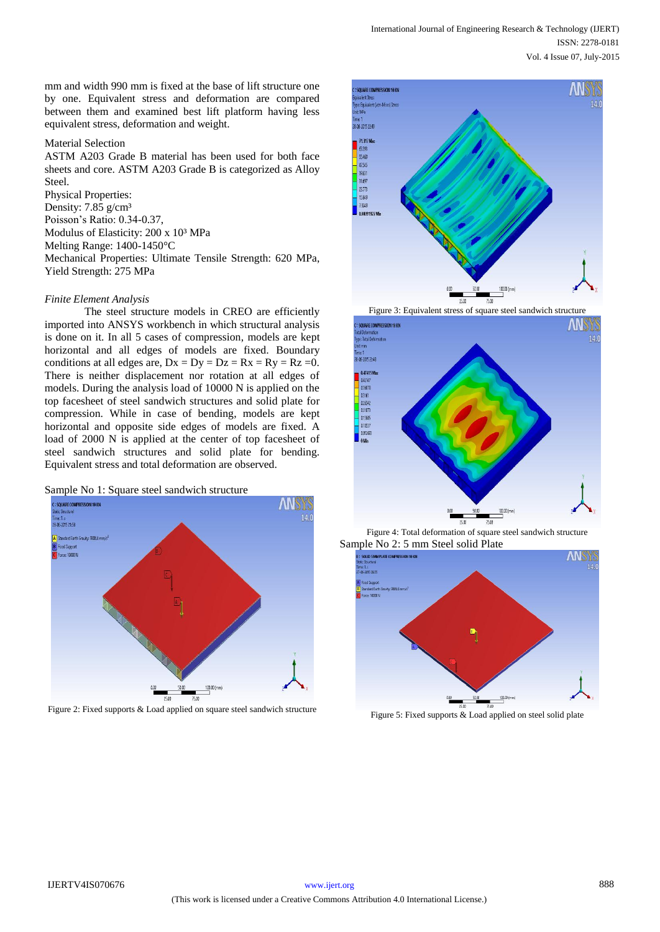mm and width 990 mm is fixed at the base of lift structure one by one. Equivalent stress and deformation are compared between them and examined best lift platform having less equivalent stress, deformation and weight.

## Material Selection

ASTM A203 Grade B material has been used for both face sheets and core. ASTM A203 Grade B is categorized as Alloy Steel. Physical Properties:

Density:  $7.85$  g/cm<sup>3</sup> Poisson's Ratio: 0.34-0.37, Modulus of Elasticity: 200 x 10<sup>3</sup> MPa Melting Range: 1400-1450°C Mechanical Properties: Ultimate Tensile Strength: 620 MPa, Yield Strength: 275 MPa

#### *Finite Element Analysis*

The steel structure models in CREO are efficiently imported into ANSYS workbench in which structural analysis is done on it. In all 5 cases of compression, models are kept horizontal and all edges of models are fixed. Boundary conditions at all edges are,  $Dx = Dy = Dz = Rx = Ry = Rz = 0$ . There is neither displacement nor rotation at all edges of models. During the analysis load of 10000 N is applied on the top facesheet of steel sandwich structures and solid plate for compression. While in case of bending, models are kept horizontal and opposite side edges of models are fixed. A load of 2000 N is applied at the center of top facesheet of steel sandwich structures and solid plate for bending. Equivalent stress and total deformation are observed.





Figure 2: Fixed supports & Load applied on square steel sandwich structure



Figure 3: Equivalent stress of square steel sandwich structure



Figure 4: Total deformation of square steel sandwich structure Sample No 2: 5 mm Steel solid Plate



Figure 5: Fixed supports & Load applied on steel solid plate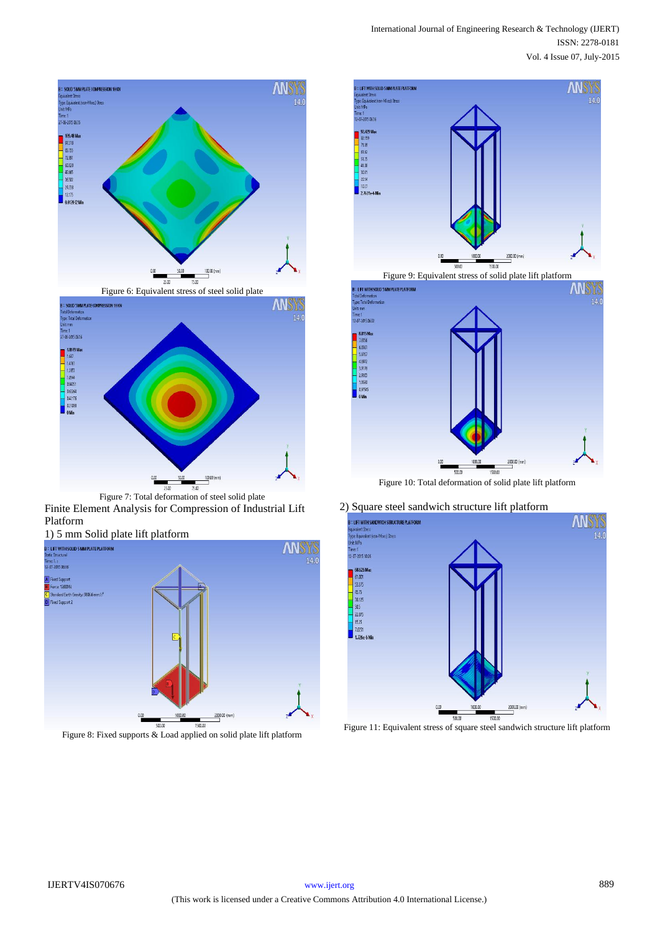



Figure 7: Total deformation of steel solid plate

Finite Element Analysis for Compression of Industrial Lift Platform



Figure 8: Fixed supports & Load applied on solid plate lift platform





Figure 10: Total deformation of solid plate lift platform

2) Square steel sandwich structure lift platform



Figure 11: Equivalent stress of square steel sandwich structure lift platform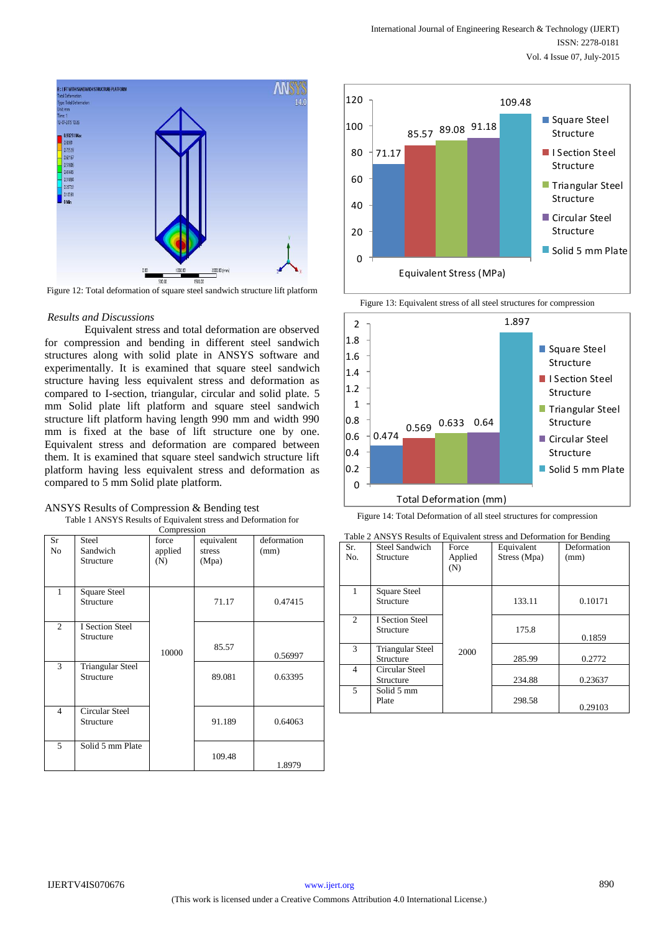



Figure 12: Total deformation of square steel sandwich structure lift platform

#### *Results and Discussions*

Equivalent stress and total deformation are observed for compression and bending in different steel sandwich structures along with solid plate in ANSYS software and experimentally. It is examined that square steel sandwich structure having less equivalent stress and deformation as compared to I-section, triangular, circular and solid plate. 5 mm Solid plate lift platform and square steel sandwich structure lift platform having length 990 mm and width 990 mm is fixed at the base of lift structure one by one. Equivalent stress and deformation are compared between them. It is examined that square steel sandwich structure lift platform having less equivalent stress and deformation as compared to 5 mm Solid plate platform.

| ANSYS Results of Compression & Bending test                    |
|----------------------------------------------------------------|
| Table 1 ANSYS Results of Equivalent stress and Deformation for |
| Compression                                                    |

| Compression          |                                      |                         |                               |                     |
|----------------------|--------------------------------------|-------------------------|-------------------------------|---------------------|
| Sr<br>N <sub>o</sub> | Steel<br>Sandwich<br>Structure       | force<br>applied<br>(N) | equivalent<br>stress<br>(Mpa) | deformation<br>(mm) |
| $\mathbf{1}$         | Square Steel<br>Structure            |                         | 71.17                         | 0.47415             |
| $\overline{c}$       | <b>I</b> Section Steel<br>Structure  | 10000                   | 85.57                         | 0.56997             |
| 3                    | <b>Triangular Steel</b><br>Structure |                         | 89.081                        | 0.63395             |
| $\overline{4}$       | <b>Circular Steel</b><br>Structure   |                         | 91.189                        | 0.64063             |
| 5                    | Solid 5 mm Plate                     |                         | 109.48                        | 1.8979              |









| Table 2 ANSYS Results of Equivalent stress and Deformation for Bending |                         |         |              |             |
|------------------------------------------------------------------------|-------------------------|---------|--------------|-------------|
| Sr.                                                                    | <b>Steel Sandwich</b>   | Force   | Equivalent   | Deformation |
| No.                                                                    | Structure               | Applied | Stress (Mpa) | (mm)        |
|                                                                        |                         | (N)     |              |             |
|                                                                        |                         |         |              |             |
|                                                                        | Square Steel            |         |              |             |
|                                                                        | Structure               |         | 133.11       | 0.10171     |
|                                                                        |                         |         |              |             |
| 2                                                                      | <b>I</b> Section Steel  |         |              |             |
|                                                                        | Structure               |         | 175.8        |             |
|                                                                        |                         |         |              | 0.1859      |
| $\mathcal{F}$                                                          | <b>Triangular Steel</b> | 2000    |              |             |
|                                                                        | Structure               |         | 285.99       | 0.2772      |
| 4                                                                      | Circular Steel          |         |              |             |
|                                                                        | Structure               |         | 234.88       | 0.23637     |
| 5                                                                      | Solid 5 mm              |         |              |             |
|                                                                        | Plate                   |         | 298.58       |             |
|                                                                        |                         |         |              | 0.29103     |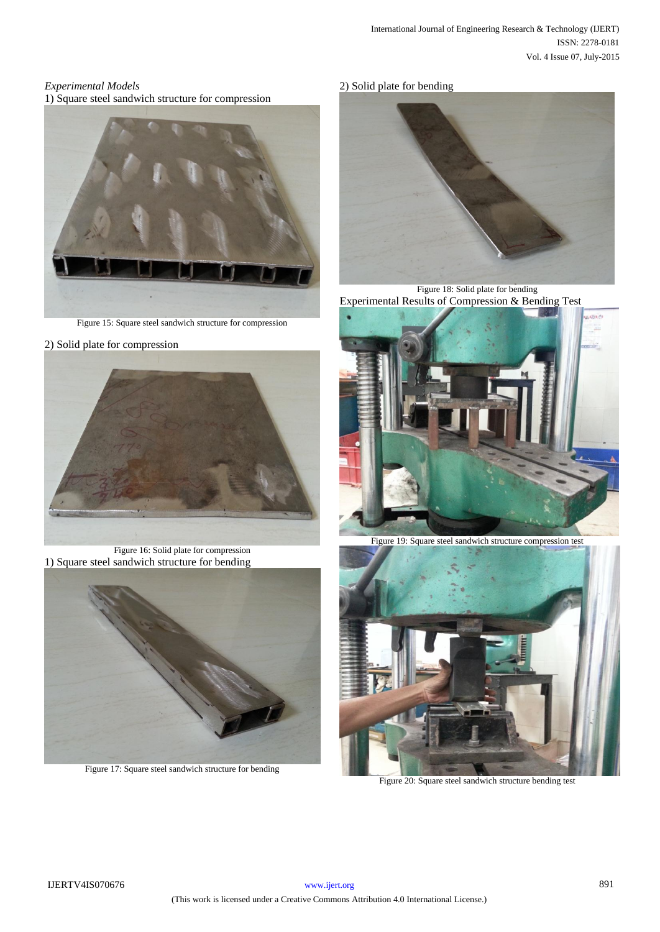## *Experimental Models*

1) Square steel sandwich structure for compression



Figure 15: Square steel sandwich structure for compression

2) Solid plate for compression



Figure 16: Solid plate for compression 1) Square steel sandwich structure for bending



Figure 17: Square steel sandwich structure for bending

# 2) Solid plate for bending



Figure 18: Solid plate for bending Experimental Results of Compression & Bending Test



Figure 19: Square steel sandwich structure compression test



Figure 20: Square steel sandwich structure bending test